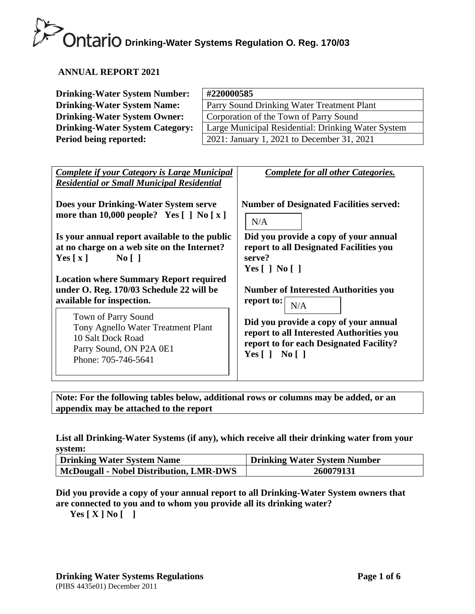#### **ANNUAL REPORT 2021**

| <b>Drinking-Water System Number:</b>   | #220000585                                         |
|----------------------------------------|----------------------------------------------------|
| <b>Drinking-Water System Name:</b>     | Parry Sound Drinking Water Treatment Plant         |
| <b>Drinking-Water System Owner:</b>    | Corporation of the Town of Parry Sound             |
| <b>Drinking-Water System Category:</b> | Large Municipal Residential: Drinking Water System |
| Period being reported:                 | 2021: January 1, 2021 to December 31, 2021         |

| <b>Complete if your Category is Large Municipal</b><br><b>Residential or Small Municipal Residential</b>                         | Complete for all other Categories.                                                                                                                         |
|----------------------------------------------------------------------------------------------------------------------------------|------------------------------------------------------------------------------------------------------------------------------------------------------------|
| Does your Drinking-Water System serve                                                                                            | <b>Number of Designated Facilities served:</b>                                                                                                             |
| more than $10,000$ people? Yes $[ ]$ No $[ x ]$                                                                                  | N/A                                                                                                                                                        |
| Is your annual report available to the public                                                                                    | Did you provide a copy of your annual                                                                                                                      |
| at no charge on a web site on the Internet?                                                                                      | report to all Designated Facilities you                                                                                                                    |
| $\overline{N_0}$                                                                                                                 | serve?                                                                                                                                                     |
| Yes $\lceil x \rceil$                                                                                                            | Yes $\lceil$   No $\lceil$                                                                                                                                 |
| <b>Location where Summary Report required</b>                                                                                    | <b>Number of Interested Authorities you</b>                                                                                                                |
| under O. Reg. 170/03 Schedule 22 will be                                                                                         | report to:                                                                                                                                                 |
| available for inspection.                                                                                                        | N/A                                                                                                                                                        |
| Town of Parry Sound<br>Tony Agnello Water Treatment Plant<br>10 Salt Dock Road<br>Parry Sound, ON P2A 0E1<br>Phone: 705-746-5641 | Did you provide a copy of your annual<br>report to all Interested Authorities you<br>report to for each Designated Facility?<br>Yes $\lceil$   No $\lceil$ |

**Note: For the following tables below, additional rows or columns may be added, or an appendix may be attached to the report**

#### **List all Drinking-Water Systems (if any), which receive all their drinking water from your system:**

| Drinking Water System Name              | <b>Drinking Water System Number</b> |  |
|-----------------------------------------|-------------------------------------|--|
| McDougall - Nobel Distribution, LMR-DWS | 260079131                           |  |

**Did you provide a copy of your annual report to all Drinking-Water System owners that are connected to you and to whom you provide all its drinking water?** 

**Yes [ X ] No [ ]**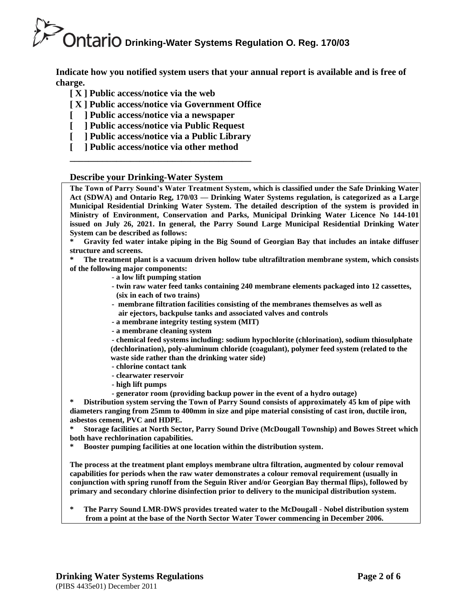**Indicate how you notified system users that your annual report is available and is free of charge.** 

- **[ X ] Public access/notice via the web**
- **[ X ] Public access/notice via Government Office**
- **[ ] Public access/notice via a newspaper**
- **[ ] Public access/notice via Public Request**
- **[ ] Public access/notice via a Public Library**
- **[ ] Public access/notice via other method \_\_\_\_\_\_\_\_\_\_\_\_\_\_\_\_\_\_\_\_\_\_\_\_\_\_\_\_\_\_\_\_\_\_\_\_\_\_\_**

**Describe your Drinking-Water System**

**The Town of Parry Sound's Water Treatment System, which is classified under the Safe Drinking Water Act (SDWA) and Ontario Reg, 170/03 — Drinking Water Systems regulation, is categorized as a Large Municipal Residential Drinking Water System. The detailed description of the system is provided in Ministry of Environment, Conservation and Parks, Municipal Drinking Water Licence No 144-101 issued on July 26, 2021. In general, the Parry Sound Large Municipal Residential Drinking Water System can be described as follows:**

**\* Gravity fed water intake piping in the Big Sound of Georgian Bay that includes an intake diffuser structure and screens.**

**\* The treatment plant is a vacuum driven hollow tube ultrafiltration membrane system, which consists of the following major components:** 

- **a low lift pumping station**
- **- twin raw water feed tanks containing 240 membrane elements packaged into 12 cassettes, (six in each of two trains)**
- **membrane filtration facilities consisting of the membranes themselves as well as air ejectors, backpulse tanks and associated valves and controls**
- **- a membrane integrity testing system (MIT)**
- **- a membrane cleaning system**

**- chemical feed systems including: sodium hypochlorite (chlorination), sodium thiosulphate (dechlorination), poly-aluminum chloride (coagulant), polymer feed system (related to the waste side rather than the drinking water side)**

- **- chlorine contact tank**
- **- clearwater reservoir**
- **- high lift pumps**
- **- generator room (providing backup power in the event of a hydro outage)**

**\* Distribution system serving the Town of Parry Sound consists of approximately 45 km of pipe with diameters ranging from 25mm to 400mm in size and pipe material consisting of cast iron, ductile iron, asbestos cement, PVC and HDPE.**

**\* Storage facilities at North Sector, Parry Sound Drive (McDougall Township) and Bowes Street which both have rechlorination capabilities.**

**\* Booster pumping facilities at one location within the distribution system.**

**The process at the treatment plant employs membrane ultra filtration, augmented by colour removal capabilities for periods when the raw water demonstrates a colour removal requirement (usually in conjunction with spring runoff from the Seguin River and/or Georgian Bay thermal flips), followed by primary and secondary chlorine disinfection prior to delivery to the municipal distribution system.** 

**\* The Parry Sound LMR-DWS provides treated water to the McDougall - Nobel distribution system from a point at the base of the North Sector Water Tower commencing in December 2006.**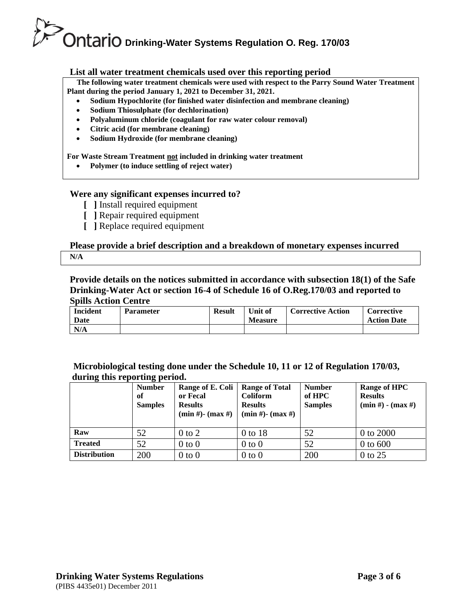#### **List all water treatment chemicals used over this reporting period**

 **The following water treatment chemicals were used with respect to the Parry Sound Water Treatment Plant during the period January 1, 2021 to December 31, 2021.**

- **Sodium Hypochlorite (for finished water disinfection and membrane cleaning)**
- **Sodium Thiosulphate (for dechlorination)**
- **Polyaluminum chloride (coagulant for raw water colour removal)**
- **Citric acid (for membrane cleaning)**
- **Sodium Hydroxide (for membrane cleaning)**

#### **For Waste Stream Treatment not included in drinking water treatment**

• **Polymer (to induce settling of reject water)**

#### **Were any significant expenses incurred to?**

- **[ ]** Install required equipment
- **[ ]** Repair required equipment
- **[ ]** Replace required equipment

#### **Please provide a brief description and a breakdown of monetary expenses incurred N/A**

**Provide details on the notices submitted in accordance with subsection 18(1) of the Safe Drinking-Water Act or section 16-4 of Schedule 16 of O.Reg.170/03 and reported to Spills Action Centre** 

| <b>Incident</b><br>Date | <b>Parameter</b> | Result | Unit of<br><b>Measure</b> | <b>Corrective Action</b> | Corrective<br><b>Action Date</b> |
|-------------------------|------------------|--------|---------------------------|--------------------------|----------------------------------|
| N/A                     |                  |        |                           |                          |                                  |

#### **Microbiological testing done under the Schedule 10, 11 or 12 of Regulation 170/03, during this reporting period.**

| $\overline{\phantom{a}}$ | ິ<br><b>Number</b><br>of<br><b>Samples</b> | Range of E. Coli<br>or Fecal<br><b>Results</b><br>$(min #) - (max #)$ | <b>Range of Total</b><br>Coliform<br><b>Results</b><br>$(min #)$ - $(max #)$ | <b>Number</b><br>of HPC<br><b>Samples</b> | <b>Range of HPC</b><br><b>Results</b><br>$(min #) - (max #)$ |
|--------------------------|--------------------------------------------|-----------------------------------------------------------------------|------------------------------------------------------------------------------|-------------------------------------------|--------------------------------------------------------------|
| Raw                      | 52                                         | $0$ to $2$                                                            | 0 to 18                                                                      | 52                                        | 0 to 2000                                                    |
| <b>Treated</b>           | 52                                         | $0$ to $0$                                                            | $0$ to $0$                                                                   | 52                                        | $0$ to $600$                                                 |
| <b>Distribution</b>      | 200                                        | $0$ to $0$                                                            | $0$ to $0$                                                                   | 200                                       | $0$ to 25                                                    |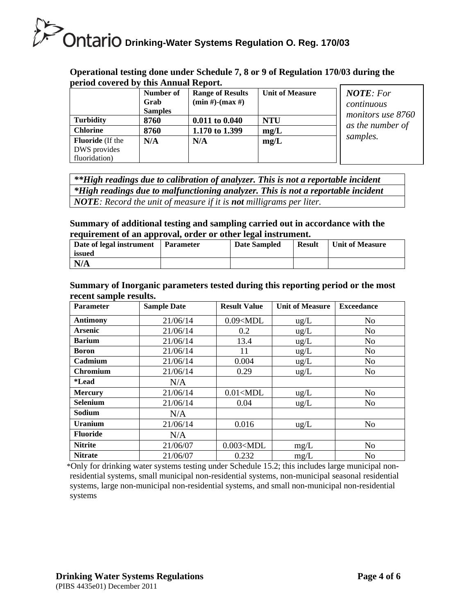#### **Operational testing done under Schedule 7, 8 or 9 of Regulation 170/03 during the period covered by this Annual Report.**

| $\boldsymbol{\mu}$ and $\boldsymbol{\mu}$ and $\boldsymbol{\nu}$ and $\boldsymbol{\nu}$ | this remitting except to |                         |                        |                   |
|-----------------------------------------------------------------------------------------|--------------------------|-------------------------|------------------------|-------------------|
|                                                                                         | Number of                | <b>Range of Results</b> | <b>Unit of Measure</b> | <b>NOTE:</b> For  |
|                                                                                         | Grab                     | $(min #)-(max #)$       |                        | continuous        |
|                                                                                         | <b>Samples</b>           |                         |                        | monitors use 8760 |
| <b>Turbidity</b>                                                                        | 8760                     | $0.011$ to $0.040$      | <b>NTU</b>             |                   |
| <b>Chlorine</b>                                                                         | 8760                     | 1.170 to 1.399          | mg/L                   | as the number of  |
| <b>Fluoride</b> (If the                                                                 | N/A                      | N/A                     | mg/L                   | samples.          |
| DWS provides                                                                            |                          |                         |                        |                   |
| fluoridation)                                                                           |                          |                         |                        |                   |

*\*\*High readings due to calibration of analyzer. This is not a reportable incident \*High readings due to malfunctioning analyzer. This is not a reportable incident NOTE: Record the unit of measure if it is not milligrams per liter.*

#### **Summary of additional testing and sampling carried out in accordance with the requirement of an approval, order or other legal instrument.**

| Date of legal instrument<br>issued | Parameter | Date Sampled | <b>Result</b> | <b>Unit of Measure</b> |
|------------------------------------|-----------|--------------|---------------|------------------------|
| N/A                                |           |              |               |                        |

#### **Summary of Inorganic parameters tested during this reporting period or the most recent sample results.**

| <b>Parameter</b> | <b>Sample Date</b> | <b>Result Value</b> | <b>Unit of Measure</b> | <b>Exceedance</b> |
|------------------|--------------------|---------------------|------------------------|-------------------|
| <b>Antimony</b>  | 21/06/14           | $0.09<$ MDL         | $\text{ug/L}$          | N <sub>0</sub>    |
| <b>Arsenic</b>   | 21/06/14           | 0.2                 | ug/L                   | N <sub>o</sub>    |
| <b>Barium</b>    | 21/06/14           | 13.4                | ug/L                   | N <sub>0</sub>    |
| Boron            | 21/06/14           | 11                  | $\text{ug/L}$          | N <sub>0</sub>    |
| Cadmium          | 21/06/14           | 0.004               | ug/L                   | N <sub>o</sub>    |
| Chromium         | 21/06/14           | 0.29                | ug/L                   | No                |
| <i>*</i> Lead    | N/A                |                     |                        |                   |
| <b>Mercury</b>   | 21/06/14           | $0.01<$ MDL         | $\text{ug/L}$          | N <sub>o</sub>    |
| <b>Selenium</b>  | 21/06/14           | 0.04                | $\text{ug/L}$          | N <sub>0</sub>    |
| Sodium           | N/A                |                     |                        |                   |
| <b>Uranium</b>   | 21/06/14           | 0.016               | $\text{ug/L}$          | N <sub>o</sub>    |
| <b>Fluoride</b>  | N/A                |                     |                        |                   |
| <b>Nitrite</b>   | 21/06/07           | $0.003<$ MDL        | mg/L                   | N <sub>o</sub>    |
| <b>Nitrate</b>   | 21/06/07           | 0.232               | mg/L                   | N <sub>o</sub>    |

\*Only for drinking water systems testing under Schedule 15.2; this includes large municipal nonresidential systems, small municipal non-residential systems, non-municipal seasonal residential systems, large non-municipal non-residential systems, and small non-municipal non-residential systems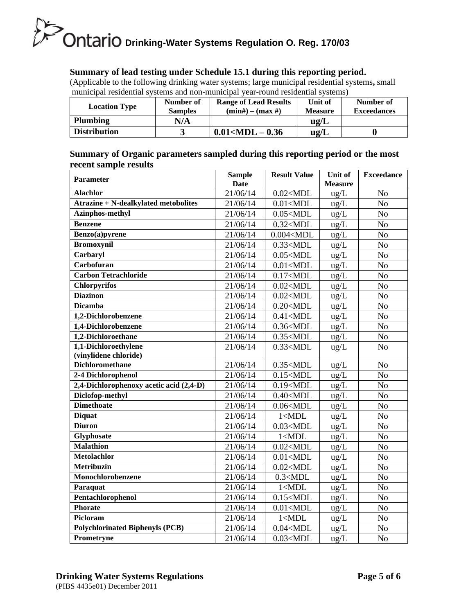#### **Summary of lead testing under Schedule 15.1 during this reporting period.**

(Applicable to the following drinking water systems; large municipal residential systems**,** small municipal residential systems and non-municipal year-round residential systems)

| <b>Location Type</b> | Number of<br><b>Samples</b> | <b>Range of Lead Results</b><br>$(min#) - (max#)$ | Unit of<br><b>Measure</b> | Number of<br><b>Exceedances</b> |
|----------------------|-----------------------------|---------------------------------------------------|---------------------------|---------------------------------|
| <b>Plumbing</b>      | N/A                         |                                                   | $u\mathfrak{g}/L$         |                                 |
| <b>Distribution</b>  |                             | $0.01<$ MDL $-0.36$                               | $u\mathbf{g}/L$           |                                 |

**Summary of Organic parameters sampled during this reporting period or the most recent sample results**

| <b>Parameter</b>                            | <b>Sample</b> | <b>Result Value</b> | Unit of        | <b>Exceedance</b> |
|---------------------------------------------|---------------|---------------------|----------------|-------------------|
|                                             | <b>Date</b>   |                     | <b>Measure</b> |                   |
| <b>Alachlor</b>                             | 21/06/14      | $0.02<$ MDL         | ug/L           | N <sub>o</sub>    |
| <b>Atrazine + N-dealkylated metobolites</b> | 21/06/14      | $0.01<$ MDL         | ug/L           | N <sub>o</sub>    |
| <b>Azinphos-methyl</b>                      | 21/06/14      | $0.05<$ MDL         | ug/L           | N <sub>o</sub>    |
| Benzene                                     | 21/06/14      | $0.32<$ MDL         | ug/L           | N <sub>o</sub>    |
| Benzo(a)pyrene                              | 21/06/14      | $0.004<$ MDL        | ug/L           | N <sub>o</sub>    |
| <b>Bromoxynil</b>                           | 21/06/14      | $0.33<$ MDL         | ug/L           | N <sub>o</sub>    |
| Carbaryl                                    | 21/06/14      | $0.05<$ MDL         | ug/L           | N <sub>o</sub>    |
| Carbofuran                                  | 21/06/14      | $0.01<$ MDL         | ug/L           | No                |
| <b>Carbon Tetrachloride</b>                 | 21/06/14      | $0.17<$ MDL         | ug/L           | No                |
| <b>Chlorpyrifos</b>                         | 21/06/14      | $0.02<$ MDL         | ug/L           | N <sub>o</sub>    |
| <b>Diazinon</b>                             | 21/06/14      | $0.02<$ MDL         | ug/L           | N <sub>o</sub>    |
| <b>Dicamba</b>                              | 21/06/14      | $0.20<$ MDL         | ug/L           | No                |
| 1,2-Dichlorobenzene                         | 21/06/14      | $0.41<$ MDL         | ug/L           | N <sub>o</sub>    |
| 1,4-Dichlorobenzene                         | 21/06/14      | $0.36<$ MDL         | ug/L           | N <sub>o</sub>    |
| 1,2-Dichloroethane                          | 21/06/14      | $0.35<$ MDL         | ug/L           | No                |
| 1,1-Dichloroethylene                        | 21/06/14      | $0.33<$ MDL         | ug/L           | N <sub>o</sub>    |
| (vinylidene chloride)                       |               |                     |                |                   |
| <b>Dichloromethane</b>                      | 21/06/14      | $0.35<$ MDL         | ug/L           | N <sub>o</sub>    |
| 2-4 Dichlorophenol                          | 21/06/14      | $0.15<$ MDL         | ug/L           | N <sub>o</sub>    |
| 2,4-Dichlorophenoxy acetic acid (2,4-D)     | 21/06/14      | $0.19<$ MDL         | ug/L           | N <sub>o</sub>    |
| Diclofop-methyl                             | 21/06/14      | $0.40<$ MDL         | ug/L           | N <sub>o</sub>    |
| <b>Dimethoate</b>                           | 21/06/14      | $0.06<$ MDL         | ug/L           | N <sub>o</sub>    |
| <b>Diquat</b>                               | 21/06/14      | 1 < MDL             | ug/L           | No                |
| <b>Diuron</b>                               | 21/06/14      | $0.03<$ MDL         | ug/L           | N <sub>o</sub>    |
| <b>Glyphosate</b>                           | 21/06/14      | 1 < MDL             | ug/L           | N <sub>o</sub>    |
| <b>Malathion</b>                            | 21/06/14      | $0.02<$ MDL         | ug/L           | No                |
| <b>Metolachlor</b>                          | 21/06/14      | $0.01<$ MDL         | ug/L           | No                |
| <b>Metribuzin</b>                           | 21/06/14      | $0.02<$ MDL         | $ug/L$         | N <sub>o</sub>    |
| Monochlorobenzene                           | 21/06/14      | 0.3 < MDL           | ug/L           | N <sub>o</sub>    |
| Paraquat                                    | 21/06/14      | 1 < MDL             | ug/L           | N <sub>o</sub>    |
| Pentachlorophenol                           | 21/06/14      | $0.15<$ MDL         | ug/L           | N <sub>o</sub>    |
| <b>Phorate</b>                              | 21/06/14      | $0.01<$ MDL         | ug/L           | N <sub>o</sub>    |
| Picloram                                    | 21/06/14      | 1 < MDL             | ug/L           | N <sub>o</sub>    |
| <b>Polychlorinated Biphenyls (PCB)</b>      | 21/06/14      | $0.04<$ MDL         | ug/L           | N <sub>o</sub>    |
| Prometryne                                  | 21/06/14      | $0.03<$ MDL         | ug/L           | N <sub>o</sub>    |